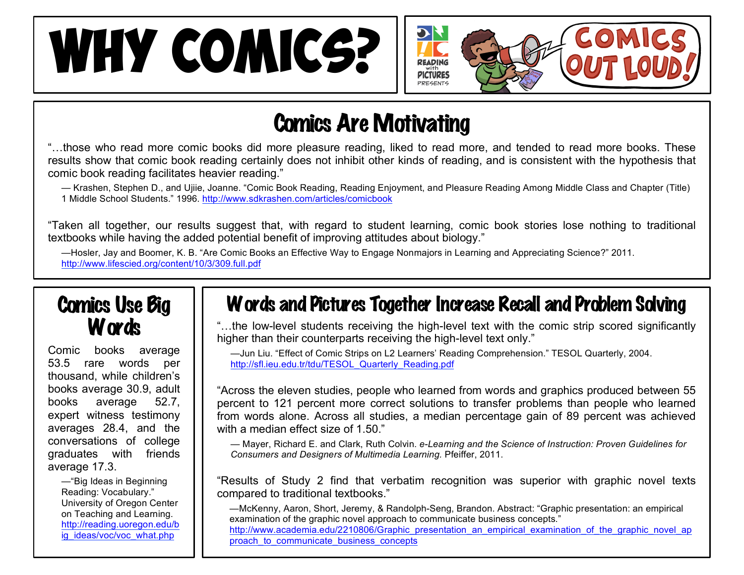# WHY COMICS?



## Comics Are Motivating

"…those who read more comic books did more pleasure reading, liked to read more, and tended to read more books. These results show that comic book reading certainly does not inhibit other kinds of reading, and is consistent with the hypothesis that comic book reading facilitates heavier reading."

— Krashen, Stephen D., and Ujiie, Joanne. "Comic Book Reading, Reading Enjoyment, and Pleasure Reading Among Middle Class and Chapter (Title) 1 Middle School Students." 1996. http://www.sdkrashen.com/articles/comicbook

"Taken all together, our results suggest that, with regard to student learning, comic book stories lose nothing to traditional textbooks while having the added potential benefit of improving attitudes about biology."

—Hosler, Jay and Boomer, K. B. "Are Comic Books an Effective Way to Engage Nonmajors in Learning and Appreciating Science?" 2011. http://www.lifescied.org/content/10/3/309.full.pdf

### Comics Use Big Words

Comic books average 53.5 rare words per thousand, while children's books average 30.9, adult books average 52.7, expert witness testimony averages 28.4, and the conversations of college graduates with friends average 17.3.

> —"Big Ideas in Beginning Reading: Vocabulary." University of Oregon Center on Teaching and Learning. http://reading.uoregon.edu/b ig\_ideas/voc/voc\_what.php

## Words and Pictures Together Increase Recall and Problem Solving

"…the low-level students receiving the high-level text with the comic strip scored significantly higher than their counterparts receiving the high-level text only."

—Jun Liu. "Effect of Comic Strips on L2 Learners' Reading Comprehension." TESOL Quarterly, 2004. http://sfl.ieu.edu.tr/tdu/TESOL\_Quarterly\_Reading.pdf

"Across the eleven studies, people who learned from words and graphics produced between 55 percent to 121 percent more correct solutions to transfer problems than people who learned from words alone. Across all studies, a median percentage gain of 89 percent was achieved with a median effect size of 1.50."

— Mayer, Richard E. and Clark, Ruth Colvin. *e-Learning and the Science of Instruction: Proven Guidelines for Consumers and Designers of Multimedia Learning.* Pfeiffer, 2011.

"Results of Study 2 find that verbatim recognition was superior with graphic novel texts compared to traditional textbooks."

—McKenny, Aaron, Short, Jeremy, & Randolph-Seng, Brandon. Abstract: "Graphic presentation: an empirical examination of the graphic novel approach to communicate business concepts." http://www.academia.edu/2210806/Graphic\_presentation\_an\_empirical\_examination\_of\_the\_graphic\_novel\_ap proach\_to\_communicate\_business\_concepts